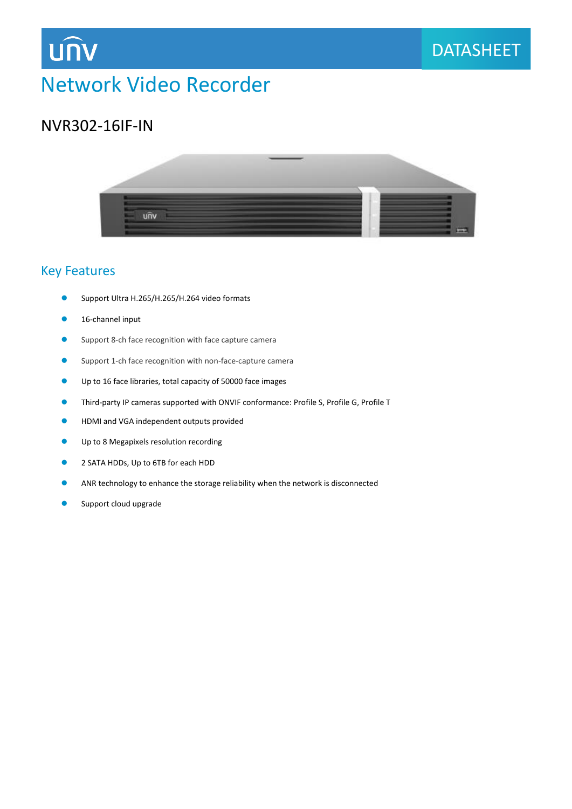

## NVR302-16IF-IN



### Key Features

- Support Ultra H.265/H.265/H.264 video formats
- 16-channel input
- **O** Support 8-ch face recognition with face capture camera
- Support 1-ch face recognition with non-face-capture camera
- Up to 16 face libraries, total capacity of 50000 face images
- Third-party IP cameras supported with ONVIF conformance: Profile S, Profile G, Profile T
- **HDMI and VGA independent outputs provided**
- Up to 8 Megapixels resolution recording
- 2 SATA HDDs, Up to 6TB for each HDD
- ANR technology to enhance the storage reliability when the network is disconnected
- Support cloud upgrade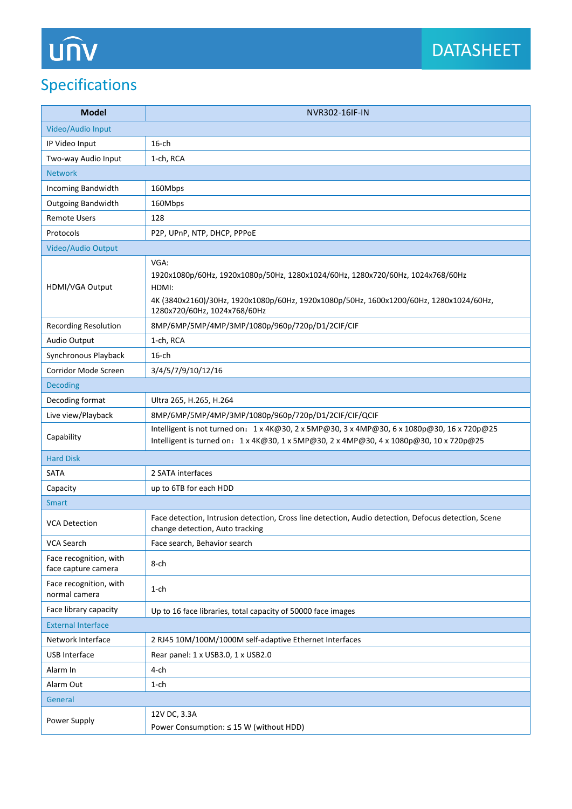# **UNV**

## Specifications

| <b>Model</b>                                  | NVR302-16IF-IN                                                                                                                                                                                                            |  |
|-----------------------------------------------|---------------------------------------------------------------------------------------------------------------------------------------------------------------------------------------------------------------------------|--|
| Video/Audio Input                             |                                                                                                                                                                                                                           |  |
| IP Video Input                                | $16$ -ch                                                                                                                                                                                                                  |  |
| Two-way Audio Input                           | 1-ch, RCA                                                                                                                                                                                                                 |  |
| <b>Network</b>                                |                                                                                                                                                                                                                           |  |
| Incoming Bandwidth                            | 160Mbps                                                                                                                                                                                                                   |  |
| Outgoing Bandwidth                            | 160Mbps                                                                                                                                                                                                                   |  |
| <b>Remote Users</b>                           | 128                                                                                                                                                                                                                       |  |
| Protocols                                     | P2P, UPnP, NTP, DHCP, PPPoE                                                                                                                                                                                               |  |
| Video/Audio Output                            |                                                                                                                                                                                                                           |  |
| HDMI/VGA Output                               | VGA:<br>1920x1080p/60Hz, 1920x1080p/50Hz, 1280x1024/60Hz, 1280x720/60Hz, 1024x768/60Hz<br>HDMI:<br>4K (3840x2160)/30Hz, 1920x1080p/60Hz, 1920x1080p/50Hz, 1600x1200/60Hz, 1280x1024/60Hz,<br>1280x720/60Hz, 1024x768/60Hz |  |
| <b>Recording Resolution</b>                   | 8MP/6MP/5MP/4MP/3MP/1080p/960p/720p/D1/2CIF/CIF                                                                                                                                                                           |  |
| Audio Output                                  | 1-ch, RCA                                                                                                                                                                                                                 |  |
| Synchronous Playback                          | $16$ -ch                                                                                                                                                                                                                  |  |
| Corridor Mode Screen                          | 3/4/5/7/9/10/12/16                                                                                                                                                                                                        |  |
| <b>Decoding</b>                               |                                                                                                                                                                                                                           |  |
| Decoding format                               | Ultra 265, H.265, H.264                                                                                                                                                                                                   |  |
| Live view/Playback                            | 8MP/6MP/5MP/4MP/3MP/1080p/960p/720p/D1/2CIF/CIF/QCIF                                                                                                                                                                      |  |
| Capability                                    | Intelligent is not turned on: 1 x 4K@30, 2 x 5MP@30, 3 x 4MP@30, 6 x 1080p@30, 16 x 720p@25<br>Intelligent is turned on: 1 x 4K@30, 1 x 5MP@30, 2 x 4MP@30, 4 x 1080p@30, 10 x 720p@25                                    |  |
| <b>Hard Disk</b>                              |                                                                                                                                                                                                                           |  |
| <b>SATA</b>                                   | 2 SATA interfaces                                                                                                                                                                                                         |  |
| Capacity                                      | up to 6TB for each HDD                                                                                                                                                                                                    |  |
| <b>Smart</b>                                  |                                                                                                                                                                                                                           |  |
| <b>VCA Detection</b>                          | Face detection, Intrusion detection, Cross line detection, Audio detection, Defocus detection, Scene<br>change detection, Auto tracking                                                                                   |  |
| <b>VCA Search</b>                             | Face search, Behavior search                                                                                                                                                                                              |  |
| Face recognition, with<br>face capture camera | 8-ch                                                                                                                                                                                                                      |  |
| Face recognition, with<br>normal camera       | $1$ -ch                                                                                                                                                                                                                   |  |
| Face library capacity                         | Up to 16 face libraries, total capacity of 50000 face images                                                                                                                                                              |  |
| <b>External Interface</b>                     |                                                                                                                                                                                                                           |  |
| Network Interface                             | 2 RJ45 10M/100M/1000M self-adaptive Ethernet Interfaces                                                                                                                                                                   |  |
| USB Interface                                 | Rear panel: 1 x USB3.0, 1 x USB2.0                                                                                                                                                                                        |  |
| Alarm In                                      | 4-ch                                                                                                                                                                                                                      |  |
| Alarm Out                                     | $1$ -ch                                                                                                                                                                                                                   |  |
| General                                       |                                                                                                                                                                                                                           |  |
| Power Supply                                  | 12V DC, 3.3A<br>Power Consumption: ≤ 15 W (without HDD)                                                                                                                                                                   |  |